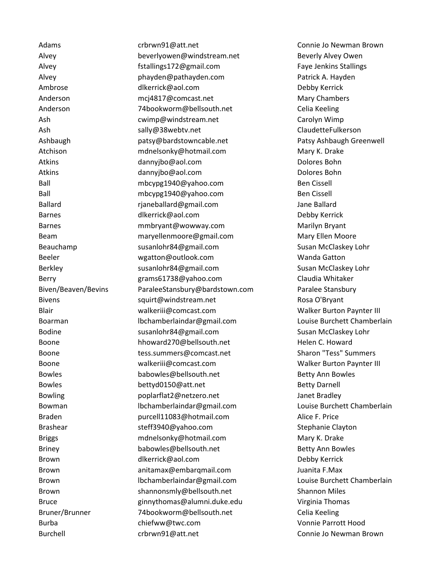Adams **crbrwn91@att.net** Connie Jo Newman Brown Connie Connie Jo Newman Brown Alvey beverlyowen@windstream.net Beverly Alvey Owen Alvey **Faye Jenkins Stallings172@gmail.com** Faye Jenkins Stallings Alvey phayden@pathayden.com Patrick A. Hayden Ambrose and [dlkerrick@aol.com](mailto:dlkerrick@aol.com) between the Debby Kerrick Anderson [mcj4817@comcast.net](mailto:mcj4817@comcast.net) Mary Chambers Anderson 74bookworm@bellsouth.net Celia Keeling Ash [cwimp@windstream.net](mailto:angiehalluw@hotmail.com) Carolyn Wimp Ash [sally@38webtv.net](mailto:angiehalluw@hotmail.com) ClaudetteFulkerson Ashbaugh [patsy@bardstowncable.net](mailto:angiehalluw@hotmail.com) Patsy Ashbaugh Greenwell Atchison [mdnelsonky@hotmail.com](mailto:angiehalluw@hotmail.com) Mary K. Drake Atkins [dannyjbo@aol.com](mailto:angiehalluw@hotmail.com) Dolores Bohn Atkins **Example 2018** [dannyjbo@aol.com](mailto:angiehalluw@hotmail.com) and the control of Dolores Bohn Ball mbcypg1940@yahoo.com Ben Cissell Ball mbcypg1940@yahoo.com Ben Cissell Ballard **rianeballard@gmail.com** Jane Ballard Jane Ballard Barnes [dlkerrick@aol.com](mailto:dlkerrick@aol.com) Debby Kerrick Barnes [mmbryant@wowway.com](mailto:mmbryant@wowway.com) Marilyn Bryant Beam maryellenmoore@gmail.com Mary Ellen Moore Beauchamp [susanlohr84@gmail.com](mailto:susanlohr84@gmail.com) Susan McClaskey Lohr Beeler [wgatton@outlook.com](mailto:wgatton@outlook.com) Wanda Gatton Berkley **Susanlohr84@gmail.com** Susan Susan McClaskey Lohr Berry **Example 2018** Berry Grams61738@yahoo.com Claudia Whitaker Biven/Beaven/Bevins ParaleeStansbury@bardstown.com Paralee Stansbury Bivens and the squirt@windstream.net contains the Rosa O'Bryant Blair walkeriii@comcast.com Walker Burton Paynter III Boarman [lbchamberlaindar@gmail.com](mailto:lbchamberlaindar@gmail.com) Louise Burchett Chamberlain Bodine [susanlohr84@gmail.com](mailto:susanlohr84@gmail.com) Susan McClaskey Lohr Boone **[hhoward270@bellsouth.net](mailto:hhoward270@bellsouth.net)** Helen C. Howard Helen C. Howard Boone Tess.summers@comcast.net Comment Sharon "Tess" Summers Boone walkeriii@comcast.com Walker Burton Paynter III Bowles **babowles@bellsouth.net** Betty Ann Bowles Bowles bettyd0150@att.net Betty Barnell Bowling poplarflat2@netzero.net Janet Bradley Bowman [lbchamberlaindar@gmail.com](mailto:lbchamberlaindar@gmail.com) Louise Burchett Chamberlain Braden purcell11083@hotmail.com Alice F. Price Brashear steff3940@yahoo.com Stephanie Clayton Briggs **metally moment and metallicom** Mary K. Drake Briggs and Mary K. Drake Briney **babowles@bellsouth.net** Betty Ann Bowles Brown **diverrick@aol.com Cometage Channel Cometage Channel Channel Cometage Channel Channel Debby Kerrick** Brown anitamax@embarqmail.com Juanita F.Max Brown [lbchamberlaindar@gmail.com](mailto:lbchamberlaindar@gmail.com) Louise Burchett Chamberlain Brown shannonsmly@bellsouth.net Shannon Miles Bruce [ginnythomas@alumni.duke.edu](mailto:ginnythomas@alumni.duke.edu) Virginia Thomas Bruner/Brunner 74bookworm@bellsouth.net Celia Keeling Burba chiefww@twc.com Vonnie Parrott Hood

Burchell crbrwn91@att.net Connie Jo Newman Brown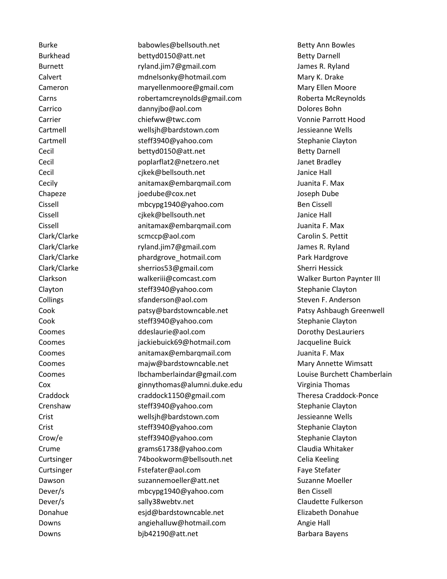Burke **babowles@bellsouth.net** Betty Ann Bowles Burkhead [bettyd0150@att.net](mailto:beverlyowen@windstream.net) Betty Barnell Burnett [ryland.jim7@gmail.com](mailto:beverlyowen@windstream.net) James R. Ryland Calvert [mdnelsonky@hotmail.com](mailto:beverlyowen@windstream.net) Mary K. Drake Cameron [maryellenmoore@gmail.com](mailto:beverlyowen@windstream.net) Mary Ellen Moore Carns [robertamcreynolds@gmail.com](mailto:robertamcreynolds@gmail.com) Roberta McReynolds Carrico [dannyjbo@aol.com](mailto:beverlyowen@windstream.net) Dolores Bohn Carrier [chiefww@twc.com](mailto:beverlyowen@windstream.net) Vonnie Parrott Hood Cartmell wellsjh@bardstown.com Jessieanne Wells Cartmell steff3940@yahoo.com Stephanie Clayton Cecil and Bettyd0150@att.net Betty Darnell Betty Darnell Cecil poplarflat2@netzero.net Janet Bradley Cecil [cjkek@bellsouth.net](mailto:cjkek@bellsouth.net) Janice Hall Cecily anitamax@embarqmail.com Juanita F. Max Chapeze joedube@cox.net Joseph Dube Cissell mbcypg1940@yahoo.com Ben Cissell Cissell [cjkek@bellsouth.net](mailto:cjkek@bellsouth.net) Janice Hall Cissell anitamax@embarqmail.com Juanita F. Max Clark/Clarke scmccp@aol.com Carolin S. Pettit Clark/Clarke ryland.jim7@gmail.com James R. Ryland Clark/Clarke **Park Interpretent phardgrove** hotmail.com **Park Hardgrove** Park Hardgrove Clark/Clarke [sherrios53@gmail.com](mailto:sherrios53@gmail.com) Sherri Hessick Clarkson walkeriii@comcast.com Walker Burton Paynter III Clayton steff3940@yahoo.com Stephanie Clayton Collings and Standerson @aol.com Steven F. Anderson Steven F. Anderson Steven F. Anderson Cook [patsy@bardstowncable.net](mailto:patsy@bardstowncable.net) Patsy Ashbaugh Greenwell Cook [steff3940@yahoo.com](mailto:steff3940@yahoo.com) Stephanie Clayton Coomes **Coomes** ddeslaurie@aol.com **Dorothy DesLauriers** Coomes jackiebuick69@hotmail.com Jacqueline Buick Coomes anitamax@embarqmail.com Juanita F. Max Coomes **majw@bardstowncable.net** Mary Annette Wimsatt Coomes [lbchamberlaindar@gmail.com](mailto:lbchamberlaindar@gmail.com) Louise Burchett Chamberlain Cox [ginnythomas@alumni.duke.edu](mailto:ginnythomas@alumni.duke.edu) Virginia Thomas Craddock craddock1150@gmail.com Theresa Craddock-Ponce Crenshaw **Steff3940@yahoo.com** Stephanie Clayton Crist wellsjh@bardstown.com Jessieanne Wells Crist steff3940@yahoo.com Stephanie Clayton Crow/e steff3940@yahoo.com Stephanie Clayton Crume grams61738@yahoo.com Claudia Whitaker Curtsinger 74bookworm@bellsouth.net Celia Keeling Curtsinger [Fstefater@aol.com](mailto:crbrwn91@att.net) Faye Stefater Dawson [suzannemoeller@att.net](mailto:suzannemoeller@att.net) Suzanne Moeller Dever/s [mbcypg1940@yahoo.com](mailto:crbrwn91@att.net) Ben Cissell Dever/s and the [sally38webtv.net](mailto:crbrwn91@att.net) claudette Fulkerson claudette Fulkerson Donahue esjd@bardstowncable.net Elizabeth Donahue Downs [angiehalluw@hotmail.com](mailto:angiehalluw@hotmail.com) Angie Hall Downs [bjb42190@att.net](mailto:bjb42190@att.net) Barbara Bayens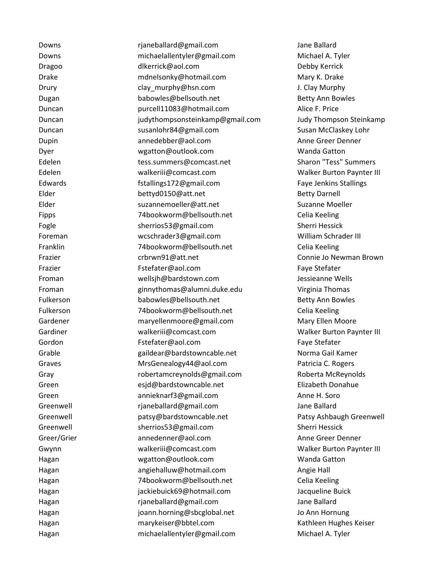Downs rjaneballard@gmail.com Jane Ballard Downs [michaelallentyler@gmail.com](mailto:michaelallentyler@gmail.com) Michael A. Tyler Dragoo [dlkerrick@aol.com](mailto:dlkerrick@aol.com) Dragoo Debby Kerrick Drake mdnelsonky@hotmail.com Mary K. Drake Drury clay\_murphy@hsn.com J. Clay Murphy Dugan babowles@bellsouth.net Betty Ann Bowles Duncan purcell11083@hotmail.com Alice F. Price Duncan judythompsonsteinkamp@gmail.com Judy Thompson Steinkamp Duncan Susanlohr84@gmail.com Susan McClaskey Lohr Dupin annedebber@aol.com Anne Greer Denner Dyer [wgatton@outlook.com](mailto:wgatton@outlook.com) Wanda Gatton Edelen tess.summers@comcast.net Sharon "Tess" Summers Edelen walkeriii@comcast.com Walker Burton Paynter III Edwards fstallings172@gmail.com Faye Jenkins Stallings Elder bettyd0150@att.net Betty Barnell Elder [suzannemoeller@att.net](mailto:suzannemoeller@att.net) Suzanne Moeller Fipps 74bookworm@bellsouth.net Celia Keeling Fogle sherrios53@gmail.com Sherri Hessick Foreman wcschrader3@gmail.com William Schrader III Franklin [74bookworm@bellsouth.net](mailto:ddeslaurie@aol.com) Celia Keeling Frazier [crbrwn91@att.net](mailto:ddeslaurie@aol.com) Connie Jo Newman Brown Frazier [Fstefater@aol.com](mailto:ddeslaurie@aol.com) Faye Stefater Froman [wellsjh@bardstown.com](mailto:ddeslaurie@aol.com) Jessieanne Wells Froman [ginnythomas@alumni.duke.edu](mailto:esjd@bardstowncable.net) Virginia Thomas Fulkerson [babowles@bellsouth.net](mailto:esjd@bardstowncable.net) Betty Ann Bowles Fulkerson [74bookworm@bellsouth.net](mailto:esjd@bardstowncable.net) Celia Keeling Gardener [maryellenmoore@gmail.com](mailto:esjd@bardstowncable.net) Mary Ellen Moore Gardiner walkeriii@comcast.com Walker Burton Paynter III Gordon Fstefater@aol.com Faye Stefater Grable **Grable** [gaildear@bardstowncable.net](mailto:gaildear@bardstowncable.net) Norma Gail Kamer Graves **MrsGenealogy44@aol.com** Patricia C. Rogers Gray robertamcreynolds@gmail.com Roberta McReynolds Green esjd@bardstowncable.net Elizabeth Donahue Green [annieknarf3@gmail.com](mailto:annieknarf3@gmail.com) Anne H. Soro Greenwell **Franklard** rjaneballard@gmail.com and Jane Ballard Greenwell [patsy@bardstowncable.net](mailto:patsy@bardstowncable.net) Patsy Ashbaugh Greenwell Greenwell sherrios53@gmail.com Sherri Hessick Greer/Grier annedenner@aol.com Anne Greer Denner Gwynn walkeriii@comcast.com Walker Burton Paynter III Hagan [wgatton@outlook.com](mailto:wgatton@outlook.com) Wanda Gatton Hagan angiehalluw@hotmail.com Angie Hall Hagan [74bookworm@bellsouth.net](mailto:fstallings172@gmail.com) Celia Keeling Hagan [jackiebuick69@hotmail.com](mailto:fstallings172@gmail.com) Jacqueline Buick Hagan [rjaneballard@gmail.com](mailto:fstallings172@gmail.com) Jane Ballard Hagan [joann.horning@sbcglobal.net](mailto:fstallings172@gmail.com) Jo Ann Hornung Hagan [marykeiser@bbtel.com](mailto:fstallings172@gmail.com) Kathleen Hughes Keiser Hagan [michaelallentyler@gmail.com](mailto:fstallings172@gmail.com) Michael A. Tyler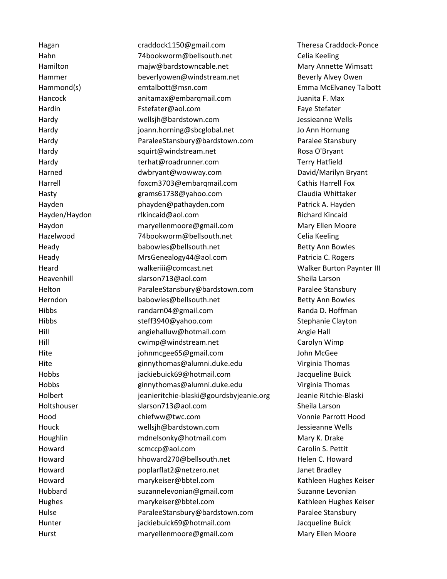Hagan [craddock1150@gmail.com](mailto:craddock1150@gmail.com) Theresa Craddock-Ponce Hahn 74bookworm@bellsouth.net Celia Keeling Hamilton majw@bardstowncable.net Mary Annette Wimsatt Hammer beverlyowen@windstream.net Beverly Alvey Owen Hammond(s) [emtalbott@msn.com](mailto:clay_murphy@hsn.com) Emma McElvaney Talbott Hancock [anitamax@embarqmail.com](mailto:clay_murphy@hsn.com) Juanita F. Max Hardin [Fstefater@aol.com](mailto:clay_murphy@hsn.com) Faye Stefater Hardy wellsjh@bardstown.com Jessieanne Wells Hardy [joann.horning@sbcglobal.net](mailto:jackiebuick69@hotmail.com) Jo Ann Hornung Hardy [ParaleeStansbury@bardstown.com](mailto:jackiebuick69@hotmail.com) Paralee Stansbury Hardy [squirt@windstream.net](mailto:jackiebuick69@hotmail.com) Rosa O'Bryant Hardy [terhat@roadrunner.com](mailto:jackiebuick69@hotmail.com) Terry Hatfield Harned [dwbryant@wowway.com](mailto:dwbryant@wowway.com) David/Marilyn Bryant Harrell **Foxcm3703@embarqmail.com** Cathis Harrell Fox Hasty grams61738@yahoo.com Claudia Whittaker Hayden phayden@pathayden.com Patrick A. Hayden [Hayden/Haydon](mailto:rlkincaid@aol.com) [rlkincaid@aol.com](mailto:rlkincaid@aol.com) Richard Kincaid Haydon maryellenmoore@gmail.com Mary Ellen Moore Hazelwood 74bookworm@bellsouth.net Celia Keeling Heady babowles@bellsouth.net Betty Ann Bowles Heady MrsGenealogy44@aol.com Patricia C. Rogers Heard walkeriii@comcast.net Walker Burton Paynter III Heavenhill [slarson713@aol.com](mailto:slarson713@aol.com) Sheila Larson Helton ParaleeStansbury@bardstown.com Paralee Stansbury Herndon babowles@bellsouth.net Betty Ann Bowles Hibbs **randarn04@gmail.com** Randa D. Hoffman Hibbs steff3940@yahoo.com Stephanie Clayton Hill angiehalluw@hotmail.com Angie Hall Hill cwimp@windstream.net Carolyn Wimp Hite [johnmcgee65@gmail.com](mailto:johnmcgee65@gmail.com) John McGee Hite [ginnythomas@alumni.duke.edu](mailto:ginnythomas@alumni.duke.edu) Virginia Thomas Hobbs jackiebuick69@hotmail.com Jacqueline Buick Hobbs [ginnythomas@alumni.duke.edu](mailto:ginnythomas@alumni.duke.edu) Virginia Thomas Holbert jeanieritchie-blaski@gourdsbyjeanie.org Jeanie Ritchie-Blaski Holtshouser [slarson713@aol.com](mailto:slarson713@aol.com) Sheila Larson Hood [chiefww@twc.com](mailto:chiefww@twc.com) Vonnie Parrott Hood Houck wellsjh@bardstown.com Jessieanne Wells Houghlin [mdnelsonky@hotmail.com](mailto:mdnelsonky@hotmail.com) Mary K. Drake Howard Scmccp@aol.com Carolin S. Pettit Howard [hhoward270@bellsouth.net](mailto:hhoward270@bellsouth.net) Helen C. Howard Howard poplarflat2@netzero.net Janet Bradley Howard marykeiser@bbtel.com Kathleen Hughes Keiser Hubbard suzannelevonian@gmail.com Suzanne Levonian Hughes marykeiser@bbtel.com Kathleen Hughes Keiser Hulse ParaleeStansbury@bardstown.com Paralee Stansbury Hunter **in the internal interval in the internal is a state of the interval interval in the value of the interv** Hurst [maryellenmoore@gmail.com](mailto:maryellenmoore@gmail.com) Mary Ellen Moore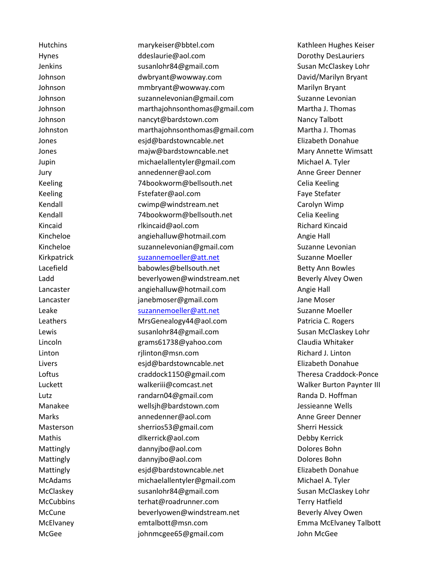Hutchins marykeiser@bbtel.com Kathleen Hughes Keiser Hynes **Example 20** deslaurie@aol.com **Dorothy DesLauriers** because the Dorothy DesLauriers Jenkins [susanlohr84@gmail.com](mailto:susanlohr84@gmail.com) Susan McClaskey Lohr Johnson [dwbryant@wowway.com](mailto:dwbryant@wowway.com) David/Marilyn Bryant Johnson mmbryant@wowway.com Marilyn Bryant Johnson suzannelevonian@gmail.com Suzanne Levonian Johnson [marthajohnsonthomas@gmail.com](mailto:marthajohnsonthomas@gmail.com) Martha J. Thomas Johnson [nancyt@bardstown.com](mailto:nancyt@bardstown.com) Nancy Talbott Johnston [marthajohnsonthomas@gmail.com](mailto:marthajohnsonthomas@gmail.com) Martha J. Thomas Jones [esjd@bardstowncable.net](mailto:esjd@bardstowncable.net) Elizabeth Donahue Jones **Mathem Mary Annette Wimsatt** majw@bardstowncable.net Mary Annette Wimsatt Jupin [michaelallentyler@gmail.com](mailto:michaelallentyler@gmail.com) Michael A. Tyler Jury annedenner@aol.com Anne Greer Denner Keeling T4bookworm@bellsouth.net Celia Keeling Keeling Fstefater@aol.com Faye Stefater Kendall cwimp@windstream.net Carolyn Wimp Kendall 74bookworm@bellsouth.net Celia Keeling Kincaid **Richard Richard Richard Kincaid** [rlkincaid@aol.com](mailto:rlkincaid@aol.com) **Richard Richard Kincaid** Kincheloe angiehalluw@hotmail.com Angie Hall Kincheloe suzannelevonian@gmail.com Suzanne Levonian Kirkpatrick [suzannemoeller@att.net](mailto:suzannemoeller@att.net) Suzanne Moeller Lacefield babowles@bellsouth.net Betty Ann Bowles Ladd beverlyowen@windstream.net Beverly Alvey Owen Lancaster angiehalluw@hotmail.com Angie Hall Lancaster **in the internal is a set of the internal is a set of the internal internal is a set of the internal i** Leake [suzannemoeller@att.net](mailto:suzannemoeller@att.net) Suzanne Moeller Leathers [MrsGenealogy44@aol.com](mailto:MrsGenealogy44@aol.com) Patricia C. Rogers Lewis [susanlohr84@gmail.com](mailto:susanlohr84@gmail.com) Susan McClaskey Lohr Lincoln grams61738@yahoo.com Claudia Whitaker Linton rjlinton@msn.com Richard J. Linton Livers esjd@bardstowncable.net Elizabeth Donahue Loftus [craddock1150@gmail.com](mailto:judythompsonsteinkamp@gmail.com) Theresa Craddock-Ponce Luckett [walkeriii@comcast.net](mailto:judythompsonsteinkamp@gmail.com) Walker Burton Paynter III Lutz **Example 2018** [randarn04@gmail.com](mailto:randarn04@gmail.com) **Randa D. Hoffman** Manakee wellsjh@bardstown.com Jessieanne Wells Marks [annedenner@aol.com](mailto:annedenner@aol.com) Anne Greer Denner Masterson sherrios53@gmail.com Sherri Hessick Mathis [dlkerrick@aol.com](mailto:dlkerrick@aol.com) Debby Kerrick Mattingly **dannyjbo@aol.com** Dolores Bohn **Dolores Bohn** Mattingly **dannyibo@aol.com** Dolores Bohn Mattingly Mattingly [esjd@bardstowncable.net](mailto:mmbryant@wowway.com) Elizabeth Donahue McAdams [michaelallentyler@gmail.com](mailto:mmbryant@wowway.com) Michael A. Tyler McClaskey **Susanlohr84@gmail.com** Susan Susan McClaskey Lohr McCubbins terhat@roadrunner.com Terry Hatfield McCune beverlyowen@windstream.net Beverly Alvey Owen McElvaney emtalbott@msn.com Emma McElvaney Talbott McGee johnmcgee65@gmail.com John McGee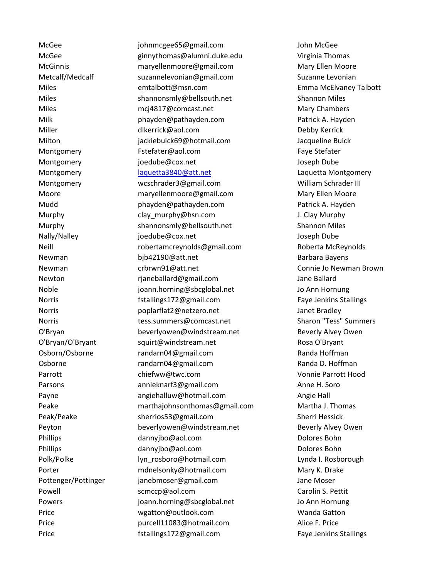McGee [johnmcgee65@gmail.com](mailto:johnmcgee65@gmail.com) John McGee McGee [ginnythomas@alumni.duke.edu](mailto:ginnythomas@alumni.duke.edu) Virginia Thomas McGinnis maryellenmoore@gmail.com Mary Ellen Moore Metcalf/Medcalf suzannelevonian@gmail.com Suzanne Levonian Miles emtalbott@msn.com Emma McElvaney Talbott Miles [shannonsmly@bellsouth.net](mailto:maryellenmoore@gmail.com) Shannon Miles Miles [mcj4817@comcast.net](mailto:mcj4817@comcast.net) Mary Chambers Mary Chambers Milk [phayden@pathayden.com](mailto:maryellenmoore@gmail.com) Patrick A. Hayden Miller [dlkerrick@aol.com](mailto:maryellenmoore@gmail.com) Debby Kerrick Milton [jackiebuick69@hotmail.com](mailto:maryellenmoore@gmail.com) Jacqueline Buick Montgomery **Figure 2018** [Fstefater@aol.com](mailto:maryellenmoore@gmail.com) **Faye Stefater** Faye Stefater Montgomery [joedube@cox.net](mailto:maryellenmoore@gmail.com) Joseph Dube Montgomery **[laquetta3840@att.net](mailto:laquetta3840@att.net)** montgomery laquetta Montgomery Montgomery [wcschrader3@gmail.com](mailto:wcschrader3@gmail.com) William Schrader III Moore [maryellenmoore@gmail.com](mailto:maryellenmoore@gmail.com) Mary Ellen Moore Mudd **[phayden@pathayden.com](mailto:maryellenmoore@gmail.com)** Patrick A. Hayden Murphy clay murphy@hsn.com J. Clay Murphy Murphy shannonsmly@bellsouth.net Shannon Miles Nally/Nalley joedube@cox.net Joseph Dube Neill robertamcreynolds@gmail.com Roberta McReynolds Newman [bjb42190@att.net](mailto:bjb42190@att.net) Barbara Bayens Newman [crbrwn91@att.net](mailto:crbrwn91@att.net) Connie Jo Newman Brown Newton rjaneballard@gmail.com Jane Ballard Noble joann.horning@sbcglobal.net Jo Ann Hornung Norris **Example 3131 Stallings172@gmail.com** Faye Jenkins Stallings Norris poplarflat2@netzero.net Janet Bradley Norris tess.summers@comcast.net Sharon "Tess" Summers O'Bryan beverlyowen@windstream.net Beverly Alvey Owen O'Bryan/O'Bryant squirt@windstream.net Rosa O'Bryant Osborn/Osborne randarn04@gmail.com Randa Hoffman Osborne **Randarnom Randarnom Communist Communist Communist Communist Communist Communist Communist Communist Communist Communist Communist Communist Communist Communist Communist Communist Communist Communist Communist Com** Parrott Chiefww@twc.com Chiefww@twc.com Vonnie Parrott Hood Parsons [annieknarf3@gmail.com](mailto:annieknarf3@gmail.com) Anne H. Soro Payne **angiehalluw@hotmail.com** Angie Hall Peake [marthajohnsonthomas@gmail.com](mailto:marthajohnsonthomas@gmail.com) Martha J. Thomas Peak/Peake sherrios53@gmail.com Sherri Hessick Peyton **beverlyowen@windstream.net** Beverly Beverly Alvey Owen Phillips **dannyjbo@aol.com** Dolores Bohn **Dolores Bohn** Phillips **[dannyjbo@aol.com](mailto:dannyjbo@aol.com)** Dolores Bohn **Dolores Bohn** Polk/Polke lyn rosboro@hotmail.com Lynda I. Rosborough Porter monomorphic mdnelsonky@hotmail.com Mary K. Drake Pottenger/Pottinger janebmoser@gmail.com Jane Moser Powell scmccp@aol.com Carolin S. Pettit Powers joann.horning@sbcglobal.net Jo Ann Hornung Price [wgatton@outlook.com](mailto:wgatton@outlook.com) Wanda Gatton Price **purcell11083@hotmail.com** Alice F. Price Price **Fig. 2018** Faye Jenkins Stallings 172@gmail.com Faye Jenkins Stallings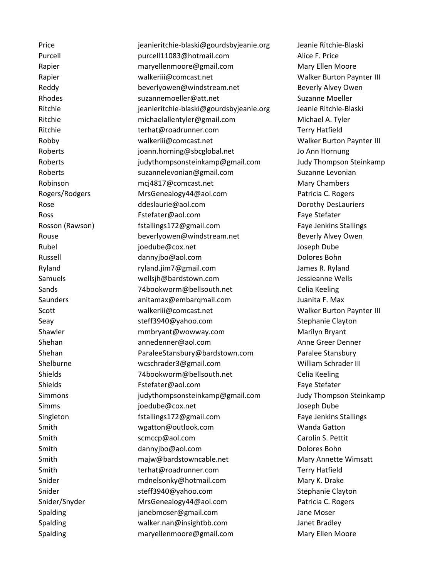Price jeanieritchie-blaski@gourdsbyjeanie.org Jeanie Ritchie-Blaski Purcell purcell11083@hotmail.com Alice F. Price Rapier **maryellenmoore@gmail.com** Mary Ellen Moore Rapier walkeriii@comcast.net Walker Burton Paynter III Reddy **beverlyowen@windstream.net** Beverly Alvey Owen Rhodes **Suzannemoeller@att.net** Suzanne Moeller Ritchie im ieanieritchie-blaski@gourdsbyjeanie.org Jeanie Ritchie-Blaski Ritchie [michaelallentyler@gmail.com](mailto:michaelallentyler@gmail.com) Michael A. Tyler Ritchie terhat@roadrunner.com Terry Hatfield Robby walkeriii@comcast.net Walker Burton Paynter III Roberts [joann.horning@sbcglobal.net](mailto:randarn04@gmail.com) Jo Ann Hornung Roberts [judythompsonsteinkamp@gmail.com](mailto:randarn04@gmail.com) Judy Thompson Steinkamp Roberts [suzannelevonian@gmail.com](mailto:randarn04@gmail.com) Suzanne Levonian Robinson [mcj4817@comcast.net](mailto:mcj4817@comcast.net) Mary Chambers Rogers/Rodgers [MrsGenealogy44@aol.com](mailto:randarn04@gmail.com) Patricia C. Rogers Rose **Rose** [ddeslaurie@aol.com](mailto:randarn04@gmail.com) **Dorothy DesLauriers Dorothy DesLauriers** Ross Fater For Face Stefater Controller Controller Controller Face Stefater Paye Stefater Rosson (Rawson) fstallings172@gmail.com Faye Jenkins Stallings Rouse **beverlyowen@windstream.net** Beverly Alvey Owen Rubel joedube@cox.net Joseph Dube Russell [dannyjbo@aol.com](mailto:robertamcreynolds@gmail.com) Dolores Bohn Ryland [ryland.jim7@gmail.com](mailto:robertamcreynolds@gmail.com) James R. Ryland Samuels wellsjh@bardstown.com Jessieanne Wells Sands **74bookworm@bellsouth.net** Celia Keeling Saunders anitamax@embarqmail.com Juanita F. Max Scott walkeriii@comcast.net Walker Burton Paynter III Seay Seay steff3940@yahoo.com Stephanie Clayton Shawler mmbryant@wowway.com Marilyn Bryant Shehan annedenner@aol.com Anne Greer Denner Shehan **ParaleeStansbury@bardstown.com** Paralee Stansbury Shelburne [wcschrader3@gmail.com](mailto:tess.summers@comcast.net) William Schrader III Shields [74bookworm@bellsouth.net](mailto:tess.summers@comcast.net) Celia Keeling Shields Fstefater@aol.com Faye Stefater Simmons judythompsonsteinkamp@gmail.com Judy Thompson Steinkamp Simms joedube@cox.net Joseph Dube Singleton **Faye Jenkins Stallings172@gmail.com** Faye Jenkins Stallings Smith [wgatton@outlook.com](mailto:wgatton@outlook.com) Wanda Gatton Wanda Gatton Smith Something School.com Carolin S. Pettit Studies Smith Smith [dannyjbo@aol.com](mailto:sherrios53@gmail.com) Dolores Bohn Smith [majw@bardstowncable.net](mailto:sherrios53@gmail.com) Mary Annette Wimsatt Smith terhat@roadrunner.com Terry Hatfield Snider mdnelsonky@hotmail.com Mary K. Drake Snider [steff3940@yahoo.com](mailto:steff3940@yahoo.com) Stephanie Clayton Snider/Snyder MrsGenealogy44@aol.com Patricia C. Rogers Spalding industrial intervals are generally parameter of the Moser Spalding Spalding in the Moser Spale Moser Spalding walker.nan@insightbb.com Janet Bradley Spalding maryellenmoore@gmail.com Mary Ellen Moore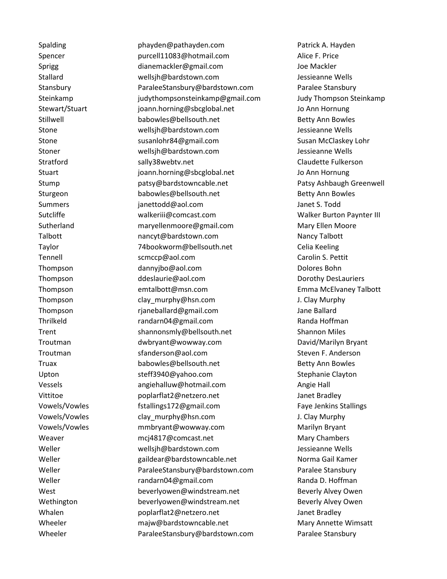Spalding entitled by phayden@pathayden.com **Patrick A. Hayden** Spencer purcell11083@hotmail.com Alice F. Price Sprigg [dianemackler@gmail.com](mailto:dianemackler@gmail.com) Joe Mackler Stallard wellsjh@bardstown.com Jessieanne Wells Stansbury ParaleeStansbury@bardstown.com Paralee Stansbury Steinkamp [judythompsonsteinkamp@gmail.com](mailto:judythompsonsteinkamp@gmail.com) Judy Thompson Steinkamp Stewart/Stuart joann.horning@sbcglobal.net Jo Ann Hornung Stillwell babowles@bellsouth.net Betty Ann Bowles Stone wellsjh@bardstown.com Jessieanne Wells Stone Susanlohr84@gmail.com Susan McClaskey Lohr Stoner wellsjh@bardstown.com Jessieanne Wells Stratford and sally38webtv.net Claudette Fulkerson Stuart in the stuart stuart of the space of the proportional stuart stuart of the Jo Ann Hornung Stump **batsy@bardstowncable.net** Patsy Ashbaugh Greenwell Sturgeon babowles@bellsouth.net Betty Ann Bowles Summers janettodd@aol.com Janet S. Todd Sutcliffe [walkeriii@comcast.com](mailto:suzannelevonian@gmail.com) Walker Burton Paynter III Sutherland [maryellenmoore@gmail.com](mailto:suzannelevonian@gmail.com) Mary Ellen Moore Talbott **[nancyt@bardstown.com](mailto:nancyt@bardstown.com)** Nancy Talbott Nancy Talbott Taylor [74bookworm@bellsouth.net](mailto:suzannelevonian@gmail.com) Celia Keeling Tennell [scmccp@aol.com](mailto:suzannelevonian@gmail.com) Carolin S. Pettit Thompson dannyjbo@aol.com Dolores Bohn Thompson ddeslaurie@aol.com Dorothy DesLauriers and Dorothy DesLauriers Thompson emtalbott@msn.com Emma McElvaney Talbott Thompson clay murphy@hsn.com J. Clay Murphy Thompson rjaneballard@gmail.com Jane Ballard Thrilkeld [randarn04@gmail.com](mailto:craddock1150@gmail.com) Randa Hoffman Trent [shannonsmly@bellsouth.net](mailto:craddock1150@gmail.com) Shannon Miles Troutman [dwbryant@wowway.com](mailto:craddock1150@gmail.com) David/Marilyn Bryant Troutman [sfanderson@aol.com](mailto:sfanderson@aol.com) Steven F. Anderson Truax **babowles@bellsouth.net** Betty Ann Bowles Upton steff3940@yahoo.com Stephanie Clayton Vessels angiehalluw@hotmail.com Angie Hall Vittitoe poplarflat2@netzero.net Janet Bradley Vowels/Vowles fstallings172@gmail.com Faye Jenkins Stallings Vowels/Vowles clay\_murphy@hsn.com J. Clay Murphy Vowels/Vowles [mmbryant@wowway.com](mailto:chiefww@twc.com) Marilyn Bryant Weaver [mcj4817@comcast.net](mailto:mcj4817@comcast.net) Mary Chambers Weller [wellsjh@bardstown.com](mailto:chiefww@twc.com) Jessieanne Wells Weller **Gailth and State and Team** [gaildear@bardstowncable.net](mailto:chiefww@twc.com) **Norma Gail Kamer** Weller **National ParaleeStansbury@bardstown.com** Paralee Stansbury Weller **Randary Randarn04@gmail.com** Randa D. Hoffman West **[beverlyowen@windstream.net](mailto:beverlyowen@windstream.net)** Beverly Alvey Owen Wethington beverlyowen@windstream.net Beverly Alvey Owen Whalen **being poplarflat2@netzero.net** and the Haley Janet Bradley Wheeler majw@bardstowncable.net Mary Annette Wimsatt Wheeler **ParaleeStansbury@bardstown.com** Paralee Stansbury